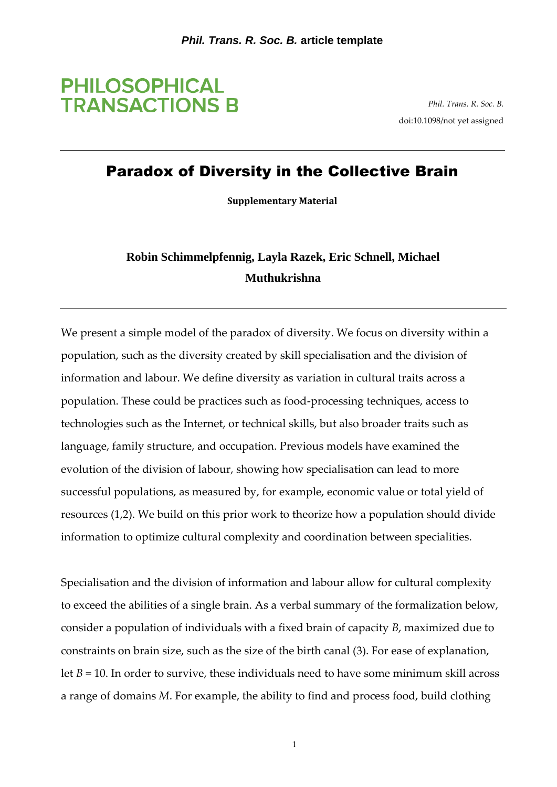

*Phil. Trans. R. Soc. B.* doi:10.1098/not yet assigned

# Paradox of Diversity in the Collective Brain

**Supplementary Material**

# **Robin Schimmelpfennig, Layla Razek, Eric Schnell, Michael Muthukrishna**

We present a simple model of the paradox of diversity. We focus on diversity within a population, such as the diversity created by skill specialisation and the division of information and labour. We define diversity as variation in cultural traits across a population. These could be practices such as food-processing techniques, access to technologies such as the Internet, or technical skills, but also broader traits such as language, family structure, and occupation. Previous models have examined the evolution of the division of labour, showing how specialisation can lead to more successful populations, as measured by, for example, economic value or total yield of resources (1,2). We build on this prior work to theorize how a population should divide information to optimize cultural complexity and coordination between specialities.

Specialisation and the division of information and labour allow for cultural complexity to exceed the abilities of a single brain. As a verbal summary of the formalization below, consider a population of individuals with a fixed brain of capacity *B*, maximized due to constraints on brain size, such as the size of the birth canal (3). For ease of explanation, let  $B = 10$ . In order to survive, these individuals need to have some minimum skill across a range of domains *M*. For example, the ability to find and process food, build clothing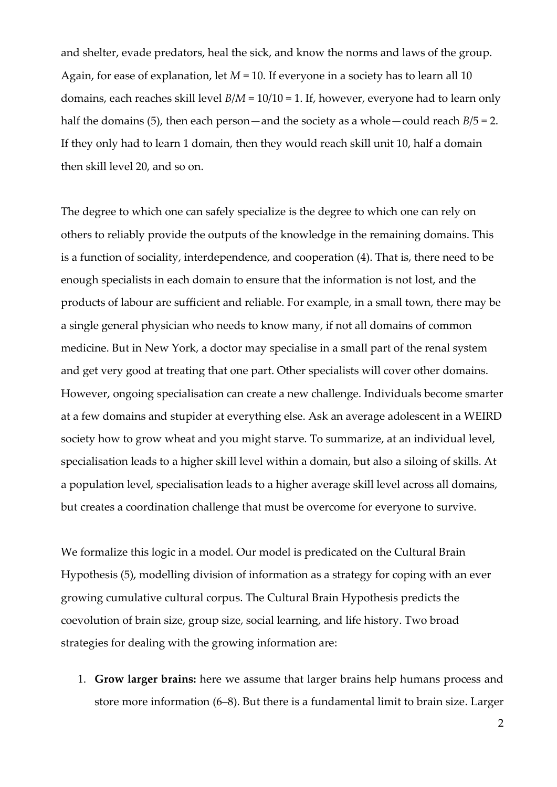and shelter, evade predators, heal the sick, and know the norms and laws of the group. Again, for ease of explanation, let *M* = 10. If everyone in a society has to learn all 10 domains, each reaches skill level *B*/*M* = 10/10 = 1. If, however, everyone had to learn only half the domains (5), then each person—and the society as a whole—could reach *B*/5 = 2. If they only had to learn 1 domain, then they would reach skill unit 10, half a domain then skill level 20, and so on.

The degree to which one can safely specialize is the degree to which one can rely on others to reliably provide the outputs of the knowledge in the remaining domains. This is a function of sociality, interdependence, and cooperation (4). That is, there need to be enough specialists in each domain to ensure that the information is not lost, and the products of labour are sufficient and reliable. For example, in a small town, there may be a single general physician who needs to know many, if not all domains of common medicine. But in New York, a doctor may specialise in a small part of the renal system and get very good at treating that one part. Other specialists will cover other domains. However, ongoing specialisation can create a new challenge. Individuals become smarter at a few domains and stupider at everything else. Ask an average adolescent in a WEIRD society how to grow wheat and you might starve. To summarize, at an individual level, specialisation leads to a higher skill level within a domain, but also a siloing of skills. At a population level, specialisation leads to a higher average skill level across all domains, but creates a coordination challenge that must be overcome for everyone to survive.

We formalize this logic in a model. Our model is predicated on the Cultural Brain Hypothesis (5), modelling division of information as a strategy for coping with an ever growing cumulative cultural corpus. The Cultural Brain Hypothesis predicts the coevolution of brain size, group size, social learning, and life history. Two broad strategies for dealing with the growing information are:

1. **Grow larger brains:** here we assume that larger brains help humans process and store more information (6–8). But there is a fundamental limit to brain size. Larger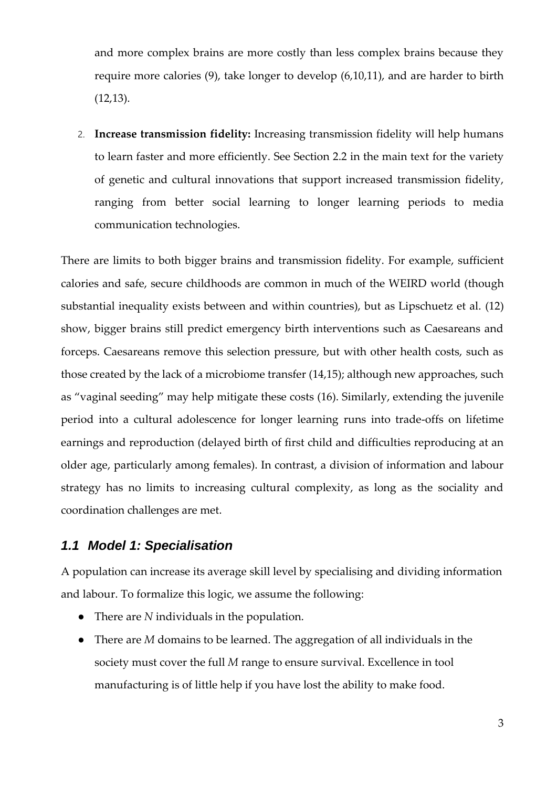and more complex brains are more costly than less complex brains because they require more calories (9), take longer to develop (6,10,11), and are harder to birth (12,13).

2. **Increase transmission fidelity:** Increasing transmission fidelity will help humans to learn faster and more efficiently. See Section 2.2 in the main text for the variety of genetic and cultural innovations that support increased transmission fidelity, ranging from better social learning to longer learning periods to media communication technologies.

There are limits to both bigger brains and transmission fidelity. For example, sufficient calories and safe, secure childhoods are common in much of the WEIRD world (though substantial inequality exists between and within countries), but as Lipschuetz et al. (12) show, bigger brains still predict emergency birth interventions such as Caesareans and forceps. Caesareans remove this selection pressure, but with other health costs, such as those created by the lack of a microbiome transfer (14,15); although new approaches, such as "vaginal seeding" may help mitigate these costs (16). Similarly, extending the juvenile period into a cultural adolescence for longer learning runs into trade-offs on lifetime earnings and reproduction (delayed birth of first child and difficulties reproducing at an older age, particularly among females). In contrast, a division of information and labour strategy has no limits to increasing cultural complexity, as long as the sociality and coordination challenges are met.

## *1.1 Model 1: Specialisation*

A population can increase its average skill level by specialising and dividing information and labour. To formalize this logic, we assume the following:

- There are *N* individuals in the population.
- There are *M* domains to be learned. The aggregation of all individuals in the society must cover the full *M* range to ensure survival. Excellence in tool manufacturing is of little help if you have lost the ability to make food.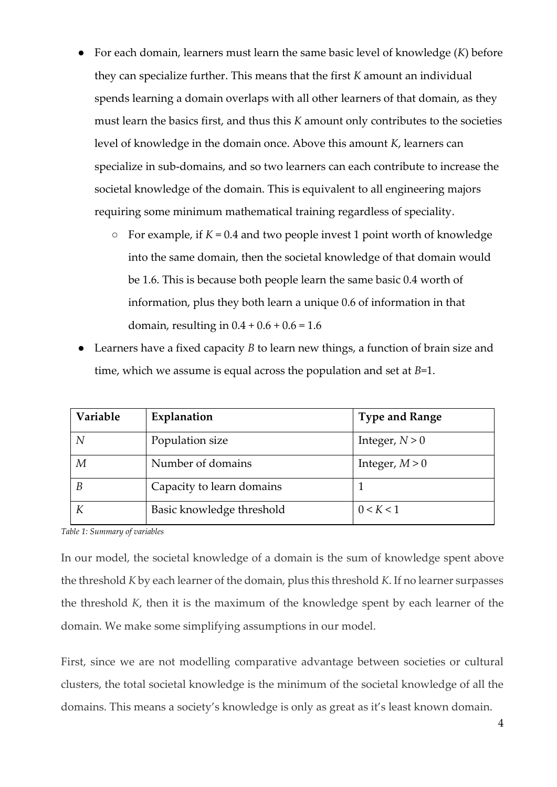- For each domain, learners must learn the same basic level of knowledge (*K*) before they can specialize further. This means that the first *K* amount an individual spends learning a domain overlaps with all other learners of that domain, as they must learn the basics first, and thus this *K* amount only contributes to the societies level of knowledge in the domain once. Above this amount *K*, learners can specialize in sub-domains, and so two learners can each contribute to increase the societal knowledge of the domain. This is equivalent to all engineering majors requiring some minimum mathematical training regardless of speciality.
	- For example, if *K* = 0.4 and two people invest 1 point worth of knowledge into the same domain, then the societal knowledge of that domain would be 1.6. This is because both people learn the same basic 0.4 worth of information, plus they both learn a unique 0.6 of information in that domain, resulting in  $0.4 + 0.6 + 0.6 = 1.6$
- Learners have a fixed capacity *B* to learn new things, a function of brain size and time, which we assume is equal across the population and set at *B*=1.

| Variable | Explanation               | <b>Type and Range</b> |
|----------|---------------------------|-----------------------|
| N        | Population size           | Integer, $N > 0$      |
| М        | Number of domains         | Integer, $M > 0$      |
| B        | Capacity to learn domains |                       |
|          | Basic knowledge threshold | 0 < K < 1             |

*Table 1: Summary of variables*

In our model, the societal knowledge of a domain is the sum of knowledge spent above the threshold *K* by each learner of the domain, plus this threshold *K*. If no learner surpasses the threshold *K*, then it is the maximum of the knowledge spent by each learner of the domain. We make some simplifying assumptions in our model.

First, since we are not modelling comparative advantage between societies or cultural clusters, the total societal knowledge is the minimum of the societal knowledge of all the domains. This means a society's knowledge is only as great as it's least known domain.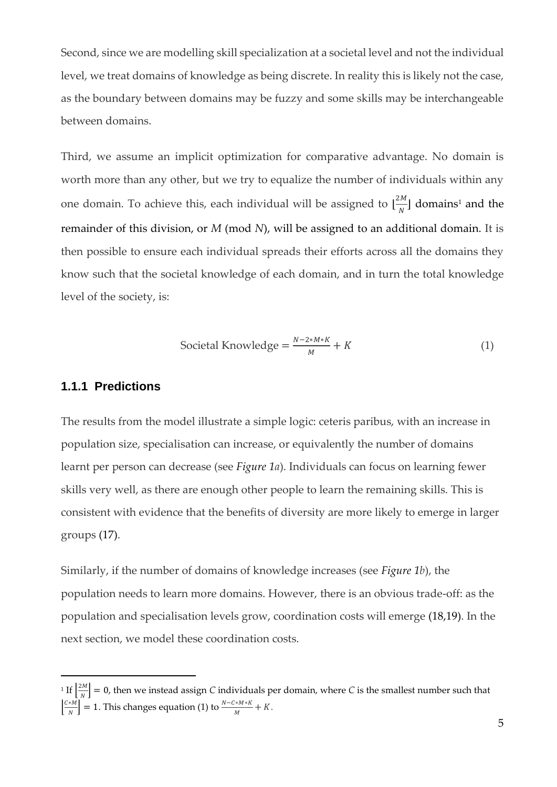Second, since we are modelling skill specialization at a societal level and not the individual level, we treat domains of knowledge as being discrete. In reality this is likely not the case, as the boundary between domains may be fuzzy and some skills may be interchangeable between domains.

Third, we assume an implicit optimization for comparative advantage. No domain is worth more than any other, but we try to equalize the number of individuals within any one domain. To achieve this, each individual will be assigned to  $\lfloor \frac{2M}{N} \rfloor$  $\frac{1}{N}$  domains<sup>1</sup> and the remainder of this division, or *M* (mod *N*), will be assigned to an additional domain. It is then possible to ensure each individual spreads their efforts across all the domains they know such that the societal knowledge of each domain, and in turn the total knowledge level of the society, is:

$$
\text{Social Knowledge} = \frac{N - 2 \cdot M \cdot K}{M} + K \tag{1}
$$

#### **1.1.1 Predictions**

The results from the model illustrate a simple logic: ceteris paribus, with an increase in population size, specialisation can increase, or equivalently the number of domains learnt per person can decrease (see *[Figure 1a](#page-5-0)*). Individuals can focus on learning fewer skills very well, as there are enough other people to learn the remaining skills. This is consistent with evidence that the benefits of diversity are more likely to emerge in larger groups (17).

Similarly, if the number of domains of knowledge increases (see *[Figure 1b](#page-5-0)*), the population needs to learn more domains. However, there is an obvious trade-off: as the population and specialisation levels grow, coordination costs will emerge (18,19). In the next section, we model these coordination costs.

<sup>&</sup>lt;sup>1</sup> If  $\frac{2M}{N}$  $\begin{bmatrix} \overline{a} & \overline{b} \\ \overline{b} & \overline{b} \end{bmatrix} = 0$ , then we instead assign *C* individuals per domain, where *C* is the smallest number such that  $\frac{C*M}{N}$  $\left[\frac{1}{N}\right]$  = 1. This changes equation (1) to  $\frac{N-C*M*K}{M} + K$ .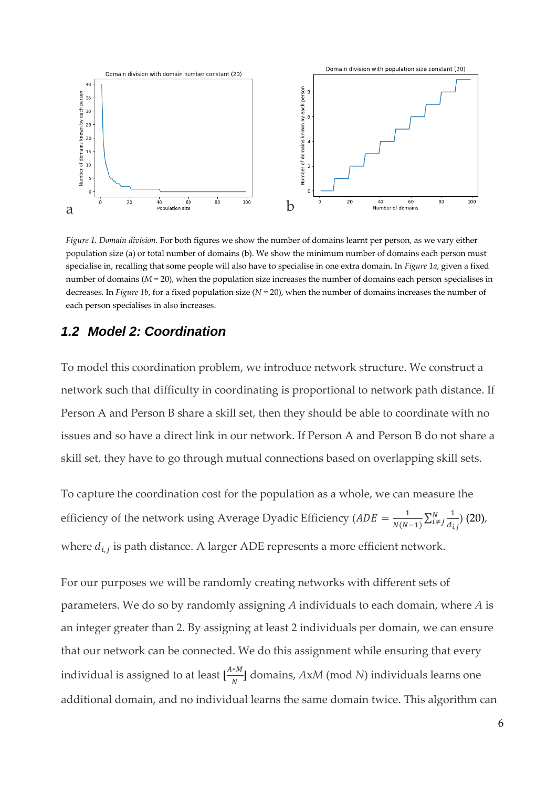

<span id="page-5-0"></span>*Figure 1. Domain division.* For both figures we show the number of domains learnt per person, as we vary either population size (a) or total number of domains (b). We show the minimum number of domains each person must specialise in, recalling that some people will also have to specialise in one extra domain. In *[Figure 1a](#page-5-0)*, given a fixed number of domains (*M* = 20), when the population size increases the number of domains each person specialises in decreases. In *[Figure 1b](#page-5-0)*, for a fixed population size (*N* = 20), when the number of domains increases the number of each person specialises in also increases.

### *1.2 Model 2: Coordination*

To model this coordination problem, we introduce network structure. We construct a network such that difficulty in coordinating is proportional to network path distance. If Person A and Person B share a skill set, then they should be able to coordinate with no issues and so have a direct link in our network. If Person A and Person B do not share a skill set, they have to go through mutual connections based on overlapping skill sets.

To capture the coordination cost for the population as a whole, we can measure the efficiency of the network using Average Dyadic Efficiency ( $ADE = \frac{1}{N(N)}$  $\frac{1}{N(N-1)}\sum_{i \neq j}^{N} \frac{1}{d_i}$  $d_{i,j}$  $\frac{N}{i\neq j}\frac{1}{d_{i,j}}(20),$ where  $d_{i,j}$  is path distance. A larger ADE represents a more efficient network.

For our purposes we will be randomly creating networks with different sets of parameters. We do so by randomly assigning *A* individuals to each domain, where *A* is an integer greater than 2. By assigning at least 2 individuals per domain, we can ensure that our network can be connected. We do this assignment while ensuring that every individual is assigned to at least  $\lfloor \frac{A*M}{N} \rfloor$  $\frac{M}{N}$  domains,  $AxM$  (mod N) individuals learns one additional domain, and no individual learns the same domain twice. This algorithm can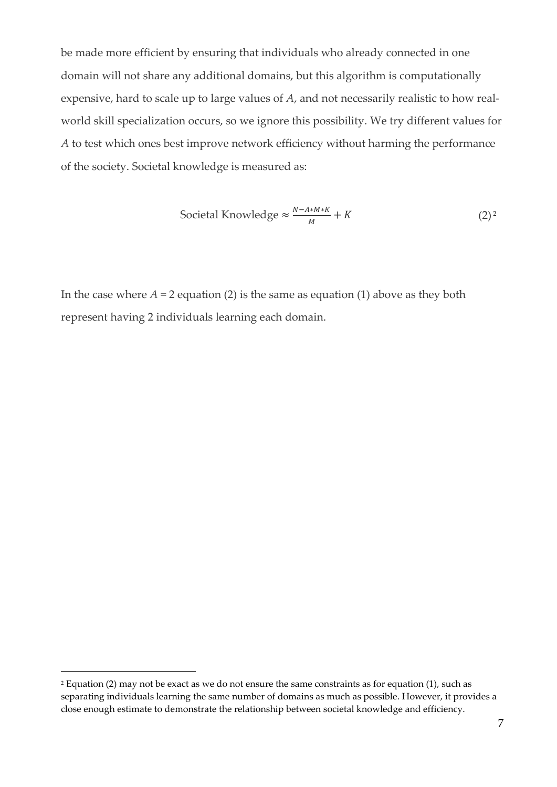be made more efficient by ensuring that individuals who already connected in one domain will not share any additional domains, but this algorithm is computationally expensive, hard to scale up to large values of *A*, and not necessarily realistic to how realworld skill specialization occurs, so we ignore this possibility. We try different values for *A* to test which ones best improve network efficiency without harming the performance of the society. Societal knowledge is measured as:

$$
\text{Social Knowledge} \approx \frac{N - A \cdot M \cdot K}{M} + K \tag{2}^2
$$

In the case where  $A = 2$  equation (2) is the same as equation (1) above as they both represent having 2 individuals learning each domain.

<sup>2</sup> Equation (2) may not be exact as we do not ensure the same constraints as for equation (1), such as separating individuals learning the same number of domains as much as possible. However, it provides a close enough estimate to demonstrate the relationship between societal knowledge and efficiency.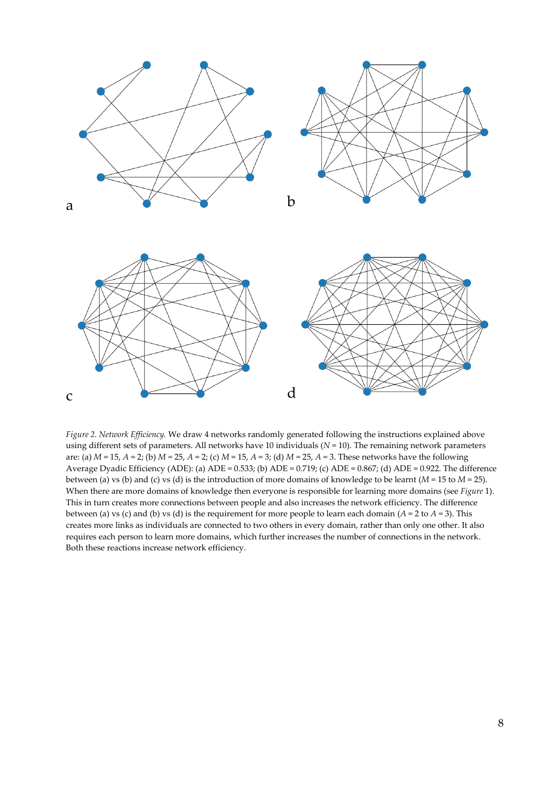

*Figure 2. Network Efficiency.* We draw 4 networks randomly generated following the instructions explained above using different sets of parameters. All networks have 10 individuals (*N* = 10). The remaining network parameters are: (a) *M* = 15, *A* = 2; (b) *M* = 25, *A* = 2; (c) *M* = 15, *A* = 3; (d) *M* = 25, *A* = 3. These networks have the following Average Dyadic Efficiency (ADE): (a) ADE = 0.533; (b) ADE = 0.719; (c) ADE = 0.867; (d) ADE = 0.922. The difference between (a) vs (b) and (c) vs (d) is the introduction of more domains of knowledge to be learnt (*M* = 15 to *M* = 25). When there are more domains of knowledge then everyone is responsible for learning more domains (see *[Figure](#page-5-0)* 1). This in turn creates more connections between people and also increases the network efficiency. The difference between (a) vs (c) and (b) vs (d) is the requirement for more people to learn each domain (*A* = 2 to *A* = 3). This creates more links as individuals are connected to two others in every domain, rather than only one other. It also requires each person to learn more domains, which further increases the number of connections in the network. Both these reactions increase network efficiency.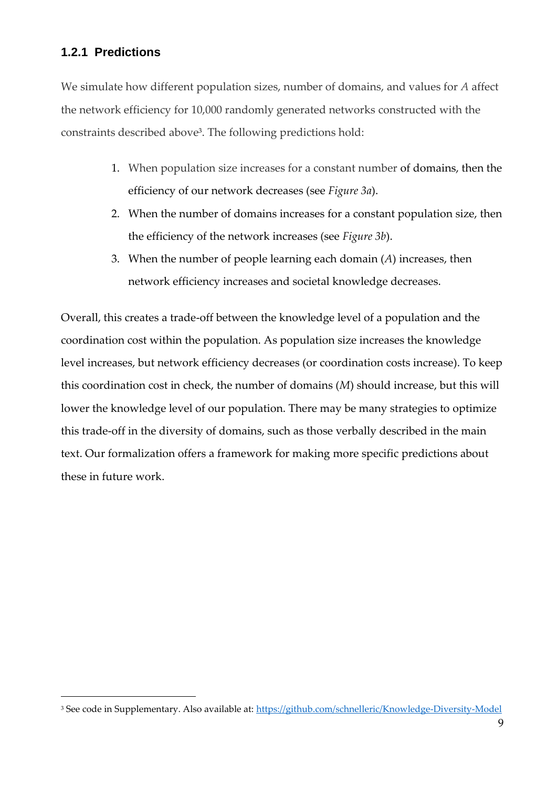## **1.2.1 Predictions**

We simulate how different population sizes, number of domains, and values for *A* affect the network efficiency for 10,000 randomly generated networks constructed with the constraints described above<sup>3</sup> . The following predictions hold:

- 1. When population size increases for a constant number of domains, then the efficiency of our network decreases (see *[Figure 3a](#page-9-0)*).
- 2. When the number of domains increases for a constant population size, then the efficiency of the network increases (see *[Figure 3b](#page-9-0)*).
- 3. When the number of people learning each domain (*A*) increases, then network efficiency increases and societal knowledge decreases.

Overall, this creates a trade-off between the knowledge level of a population and the coordination cost within the population. As population size increases the knowledge level increases, but network efficiency decreases (or coordination costs increase). To keep this coordination cost in check, the number of domains (*M*) should increase, but this will lower the knowledge level of our population. There may be many strategies to optimize this trade-off in the diversity of domains, such as those verbally described in the main text. Our formalization offers a framework for making more specific predictions about these in future work.

<sup>&</sup>lt;sup>3</sup> See code in Supplementary. Also available at:<https://github.com/schnelleric/Knowledge-Diversity-Model>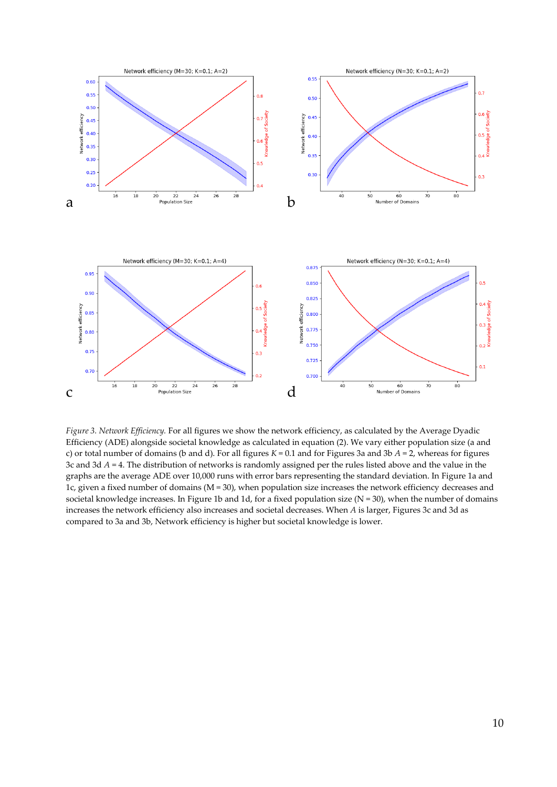

<span id="page-9-0"></span>*Figure 3. Network Efficiency.* For all figures we show the network efficiency, as calculated by the Average Dyadic Efficiency (ADE) alongside societal knowledge as calculated in equation (2). We vary either population size (a and c) or total number of domains (b and d). For all figures *K* = 0.1 and for Figures 3a and 3b *A* = 2, whereas for figures 3c and 3d *A* = 4. The distribution of networks is randomly assigned per the rules listed above and the value in the graphs are the average ADE over 10,000 runs with error bars representing the standard deviation. In [Figure 1a](#page-5-0) and 1c, given a fixed number of domains (M = 30), when population size increases the network efficiency decreases and societal knowledge increases. I[n Figure 1b](#page-5-0) and 1d, for a fixed population size  $(N = 30)$ , when the number of domains increases the network efficiency also increases and societal decreases. When *A* is larger, Figures 3c and 3d as compared to 3a and 3b, Network efficiency is higher but societal knowledge is lower.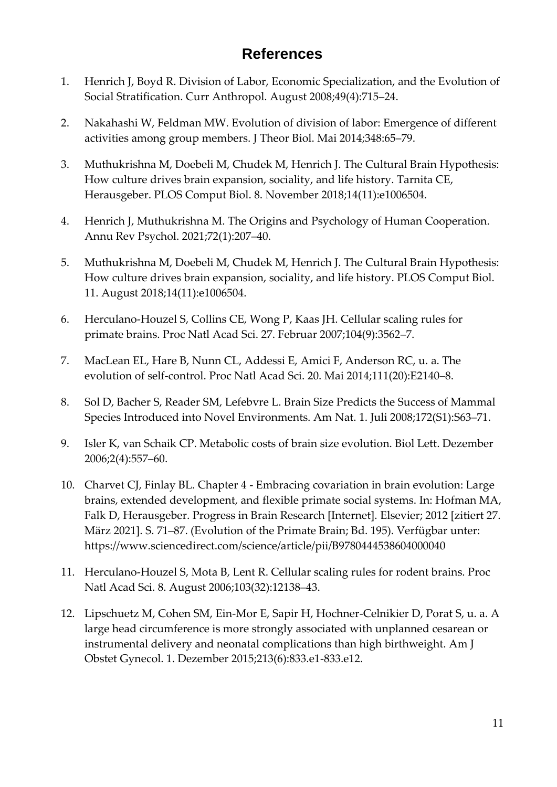# **References**

- 1. Henrich J, Boyd R. Division of Labor, Economic Specialization, and the Evolution of Social Stratification. Curr Anthropol. August 2008;49(4):715–24.
- 2. Nakahashi W, Feldman MW. Evolution of division of labor: Emergence of different activities among group members. J Theor Biol. Mai 2014;348:65–79.
- 3. Muthukrishna M, Doebeli M, Chudek M, Henrich J. The Cultural Brain Hypothesis: How culture drives brain expansion, sociality, and life history. Tarnita CE, Herausgeber. PLOS Comput Biol. 8. November 2018;14(11):e1006504.
- 4. Henrich J, Muthukrishna M. The Origins and Psychology of Human Cooperation. Annu Rev Psychol. 2021;72(1):207–40.
- 5. Muthukrishna M, Doebeli M, Chudek M, Henrich J. The Cultural Brain Hypothesis: How culture drives brain expansion, sociality, and life history. PLOS Comput Biol. 11. August 2018;14(11):e1006504.
- 6. Herculano-Houzel S, Collins CE, Wong P, Kaas JH. Cellular scaling rules for primate brains. Proc Natl Acad Sci. 27. Februar 2007;104(9):3562–7.
- 7. MacLean EL, Hare B, Nunn CL, Addessi E, Amici F, Anderson RC, u. a. The evolution of self-control. Proc Natl Acad Sci. 20. Mai 2014;111(20):E2140–8.
- 8. Sol D, Bacher S, Reader SM, Lefebvre L. Brain Size Predicts the Success of Mammal Species Introduced into Novel Environments. Am Nat. 1. Juli 2008;172(S1):S63–71.
- 9. Isler K, van Schaik CP. Metabolic costs of brain size evolution. Biol Lett. Dezember 2006;2(4):557–60.
- 10. Charvet CJ, Finlay BL. Chapter 4 Embracing covariation in brain evolution: Large brains, extended development, and flexible primate social systems. In: Hofman MA, Falk D, Herausgeber. Progress in Brain Research [Internet]. Elsevier; 2012 [zitiert 27. März 2021]. S. 71–87. (Evolution of the Primate Brain; Bd. 195). Verfügbar unter: https://www.sciencedirect.com/science/article/pii/B9780444538604000040
- 11. Herculano-Houzel S, Mota B, Lent R. Cellular scaling rules for rodent brains. Proc Natl Acad Sci. 8. August 2006;103(32):12138–43.
- 12. Lipschuetz M, Cohen SM, Ein-Mor E, Sapir H, Hochner-Celnikier D, Porat S, u. a. A large head circumference is more strongly associated with unplanned cesarean or instrumental delivery and neonatal complications than high birthweight. Am J Obstet Gynecol. 1. Dezember 2015;213(6):833.e1-833.e12.